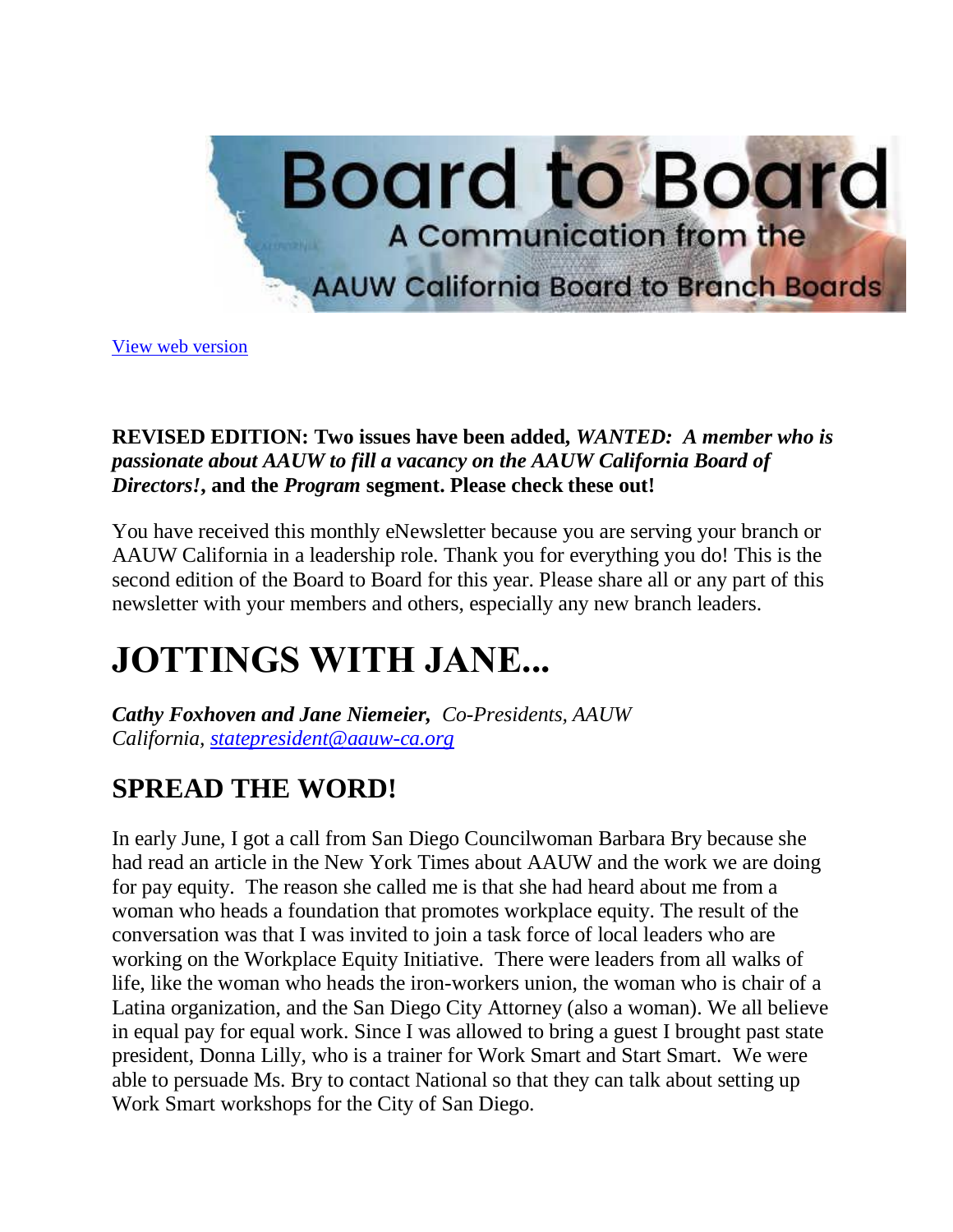

[View web version](https://bor.aauw-ca.org/sendy/w/YlrJ763AeyF892b51vFm0EptRw/4FDFL4S593H7oWC6rDwDxg/euzc763OHTcPZP64trc0KFiw)

#### **REVISED EDITION: Two issues have been added,** *WANTED: A member who is passionate about AAUW to fill a vacancy on the AAUW California Board of Directors!***, and the** *Program* **segment. Please check these out!**

You have received this monthly eNewsletter because you are serving your branch or AAUW California in a leadership role. Thank you for everything you do! This is the second edition of the Board to Board for this year. Please share all or any part of this newsletter with your members and others, especially any new branch leaders.

# **JOTTINGS WITH JANE...**

*Cathy Foxhoven and Jane Niemeier, Co-Presidents, AAUW California, [statepresident@aauw-ca.org](mailto:statepresident@aauw-ca.org)*

### **SPREAD THE WORD!**

In early June, I got a call from San Diego Councilwoman Barbara Bry because she had read an article in the New York Times about AAUW and the work we are doing for pay equity. The reason she called me is that she had heard about me from a woman who heads a foundation that promotes workplace equity. The result of the conversation was that I was invited to join a task force of local leaders who are working on the Workplace Equity Initiative. There were leaders from all walks of life, like the woman who heads the iron-workers union, the woman who is chair of a Latina organization, and the San Diego City Attorney (also a woman). We all believe in equal pay for equal work. Since I was allowed to bring a guest I brought past state president, Donna Lilly, who is a trainer for Work Smart and Start Smart. We were able to persuade Ms. Bry to contact National so that they can talk about setting up Work Smart workshops for the City of San Diego.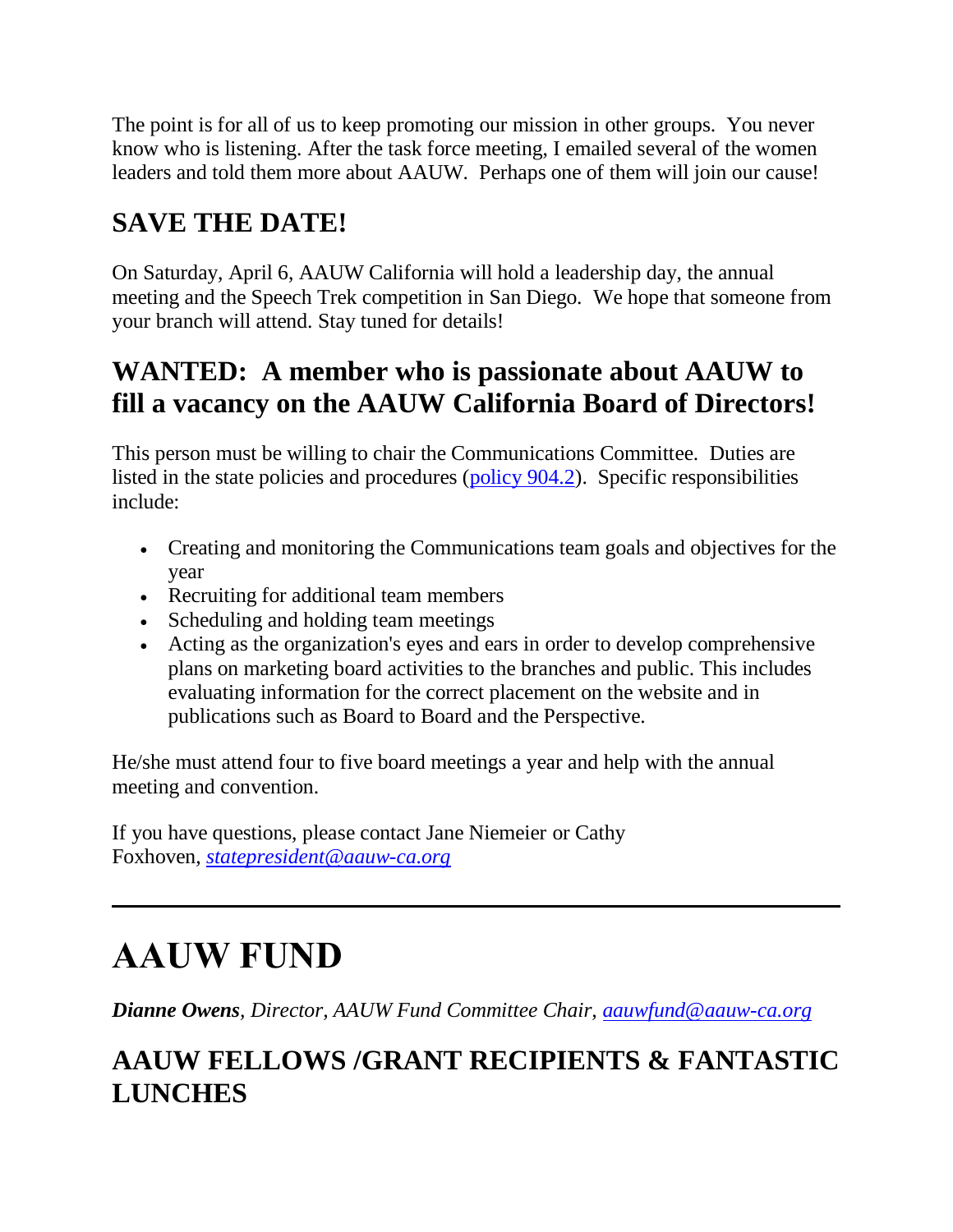The point is for all of us to keep promoting our mission in other groups. You never know who is listening. After the task force meeting, I emailed several of the women leaders and told them more about AAUW. Perhaps one of them will join our cause!

### **SAVE THE DATE!**

On Saturday, April 6, AAUW California will hold a leadership day, the annual meeting and the Speech Trek competition in San Diego. We hope that someone from your branch will attend. Stay tuned for details!

#### **WANTED: A member who is passionate about AAUW to fill a vacancy on the AAUW California Board of Directors!**

This person must be willing to chair the Communications Committee. Duties are listed in the state policies and procedures [\(policy 904.2\)](https://bor.aauw-ca.org/sendy/l/YlrJ763AeyF892b51vFm0EptRw/j1H6nFaAEuEpC3DKrCKlXA/euzc763OHTcPZP64trc0KFiw). Specific responsibilities include:

- Creating and monitoring the Communications team goals and objectives for the year
- Recruiting for additional team members
- Scheduling and holding team meetings
- Acting as the organization's eyes and ears in order to develop comprehensive plans on marketing board activities to the branches and public. This includes evaluating information for the correct placement on the website and in publications such as Board to Board and the Perspective.

He/she must attend four to five board meetings a year and help with the annual meeting and convention.

If you have questions, please contact Jane Niemeier or Cathy Foxhoven, *[statepresident@aauw-ca.org](mailto:statepresident@aauw-ca.org)*

### **AAUW FUND**

*Dianne Owens, Director, AAUW Fund Committee Chair, [aauwfund@aauw-ca.org](mailto:aauwfund@aauw-ca.org)*

### **AAUW FELLOWS /GRANT RECIPIENTS & FANTASTIC LUNCHES**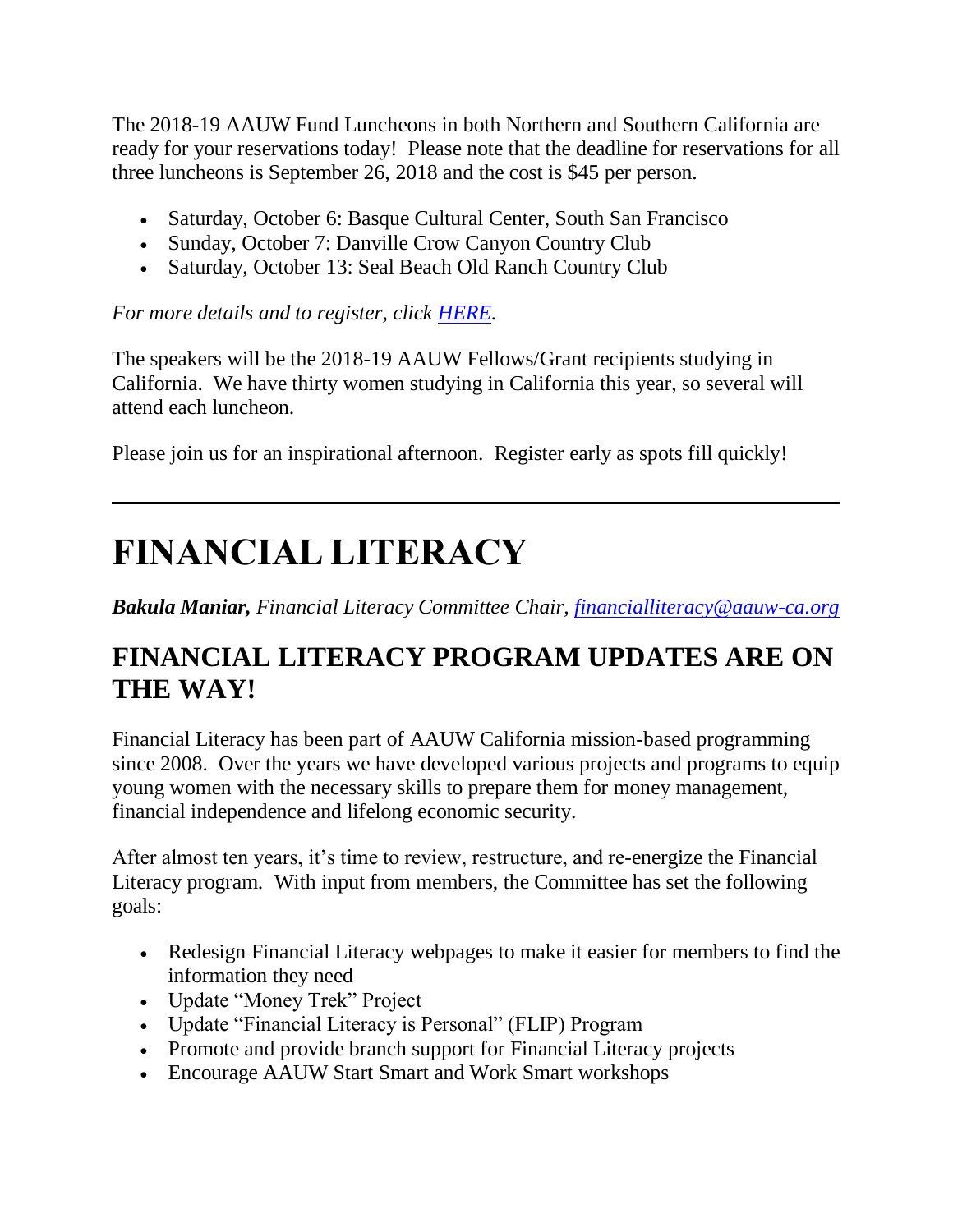The 2018-19 AAUW Fund Luncheons in both Northern and Southern California are ready for your reservations today! Please note that the deadline for reservations for all three luncheons is September 26, 2018 and the cost is \$45 per person.

- Saturday, October 6: Basque Cultural Center, South San Francisco
- Sunday, October 7: Danville Crow Canyon Country Club
- Saturday, October 13: Seal Beach Old Ranch Country Club

*For more details and to register, click [HERE.](https://bor.aauw-ca.org/sendy/l/YlrJ763AeyF892b51vFm0EptRw/1fFECVkXXNfQ8NEnblUVjw/euzc763OHTcPZP64trc0KFiw)*

The speakers will be the 2018-19 AAUW Fellows/Grant recipients studying in California. We have thirty women studying in California this year, so several will attend each luncheon.

Please join us for an inspirational afternoon. Register early as spots fill quickly!

## **FINANCIAL LITERACY**

*Bakula Maniar, Financial Literacy Committee Chair, [financialliteracy@aauw-ca.org](mailto:financialliteracy@aauw-ca.org)*

#### **FINANCIAL LITERACY PROGRAM UPDATES ARE ON THE WAY!**

Financial Literacy has been part of AAUW California mission-based programming since 2008. Over the years we have developed various projects and programs to equip young women with the necessary skills to prepare them for money management, financial independence and lifelong economic security.

After almost ten years, it's time to review, restructure, and re-energize the Financial Literacy program. With input from members, the Committee has set the following goals:

- Redesign Financial Literacy webpages to make it easier for members to find the information they need
- Update "Money Trek" Project
- Update "Financial Literacy is Personal" (FLIP) Program
- Promote and provide branch support for Financial Literacy projects
- Encourage AAUW Start Smart and Work Smart workshops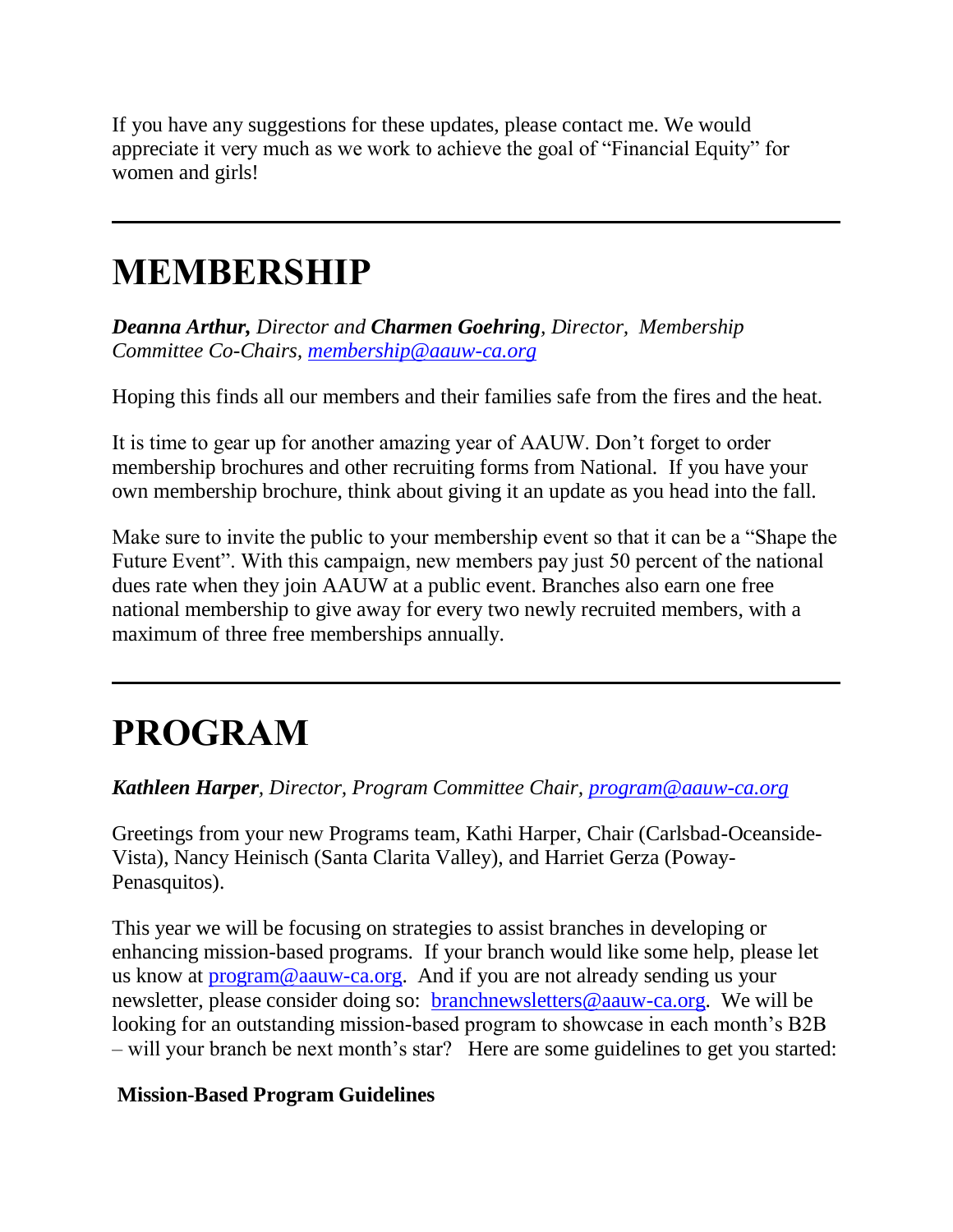If you have any suggestions for these updates, please contact me. We would appreciate it very much as we work to achieve the goal of "Financial Equity" for women and girls!

### **MEMBERSHIP**

*Deanna Arthur, Director and Charmen Goehring, Director, Membership Committee Co-Chairs, [membership@aauw-ca.org](mailto:membership@aauw-ca.org)*

Hoping this finds all our members and their families safe from the fires and the heat.

It is time to gear up for another amazing year of AAUW. Don't forget to order membership brochures and other recruiting forms from National. If you have your own membership brochure, think about giving it an update as you head into the fall.

Make sure to invite the public to your membership event so that it can be a "Shape the Future Event". With this campaign, new members pay just 50 percent of the national dues rate when they join AAUW at a public event. Branches also earn one free national membership to give away for every two newly recruited members, with a maximum of three free memberships annually.

### **PROGRAM**

*Kathleen Harper, Director, Program Committee Chair, [program@aauw-ca.org](mailto:program@aauw-ca.org)*

Greetings from your new Programs team, Kathi Harper, Chair (Carlsbad-Oceanside-Vista), Nancy Heinisch (Santa Clarita Valley), and Harriet Gerza (Poway-Penasquitos).

This year we will be focusing on strategies to assist branches in developing or enhancing mission-based programs. If your branch would like some help, please let us know at [program@aauw-ca.org.](mailto:program@aauw-ca.org) And if you are not already sending us your newsletter, please consider doing so: [branchnewsletters@aauw-ca.org.](mailto:branchnewsletters@aauw-ca.org) We will be looking for an outstanding mission-based program to showcase in each month's B2B – will your branch be next month's star? Here are some guidelines to get you started:

#### **Mission-Based Program Guidelines**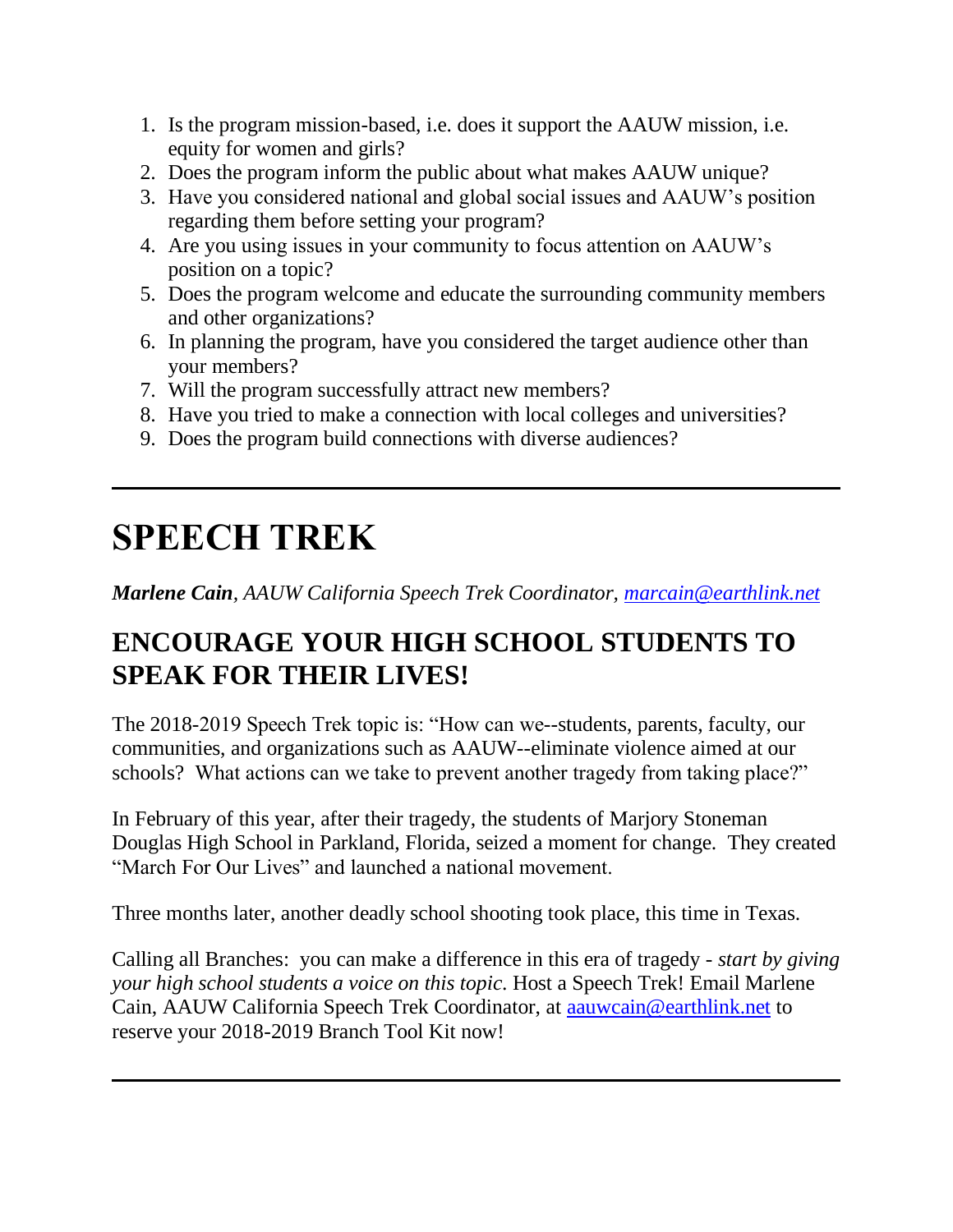- 1. Is the program mission-based, i.e. does it support the AAUW mission, i.e. equity for women and girls?
- 2. Does the program inform the public about what makes AAUW unique?
- 3. Have you considered national and global social issues and AAUW's position regarding them before setting your program?
- 4. Are you using issues in your community to focus attention on AAUW's position on a topic?
- 5. Does the program welcome and educate the surrounding community members and other organizations?
- 6. In planning the program, have you considered the target audience other than your members?
- 7. Will the program successfully attract new members?
- 8. Have you tried to make a connection with local colleges and universities?
- 9. Does the program build connections with diverse audiences?

### **SPEECH TREK**

*Marlene Cain, AAUW California Speech Trek Coordinator, [marcain@earthlink.net](mailto:marcain@earthlink.net)*

#### **ENCOURAGE YOUR HIGH SCHOOL STUDENTS TO SPEAK FOR THEIR LIVES!**

The 2018-2019 Speech Trek topic is: "How can we--students, parents, faculty, our communities, and organizations such as AAUW--eliminate violence aimed at our schools? What actions can we take to prevent another tragedy from taking place?"

In February of this year, after their tragedy, the students of Marjory Stoneman Douglas High School in Parkland, Florida, seized a moment for change. They created "March For Our Lives" and launched a national movement.

Three months later, another deadly school shooting took place, this time in Texas.

Calling all Branches: you can make a difference in this era of tragedy - *start by giving your high school students a voice on this topic*. Host a Speech Trek! Email Marlene Cain, AAUW California Speech Trek Coordinator, at [aauwcain@earthlink.net](mailto:aauwcain@earthlink.net) to reserve your 2018-2019 Branch Tool Kit now!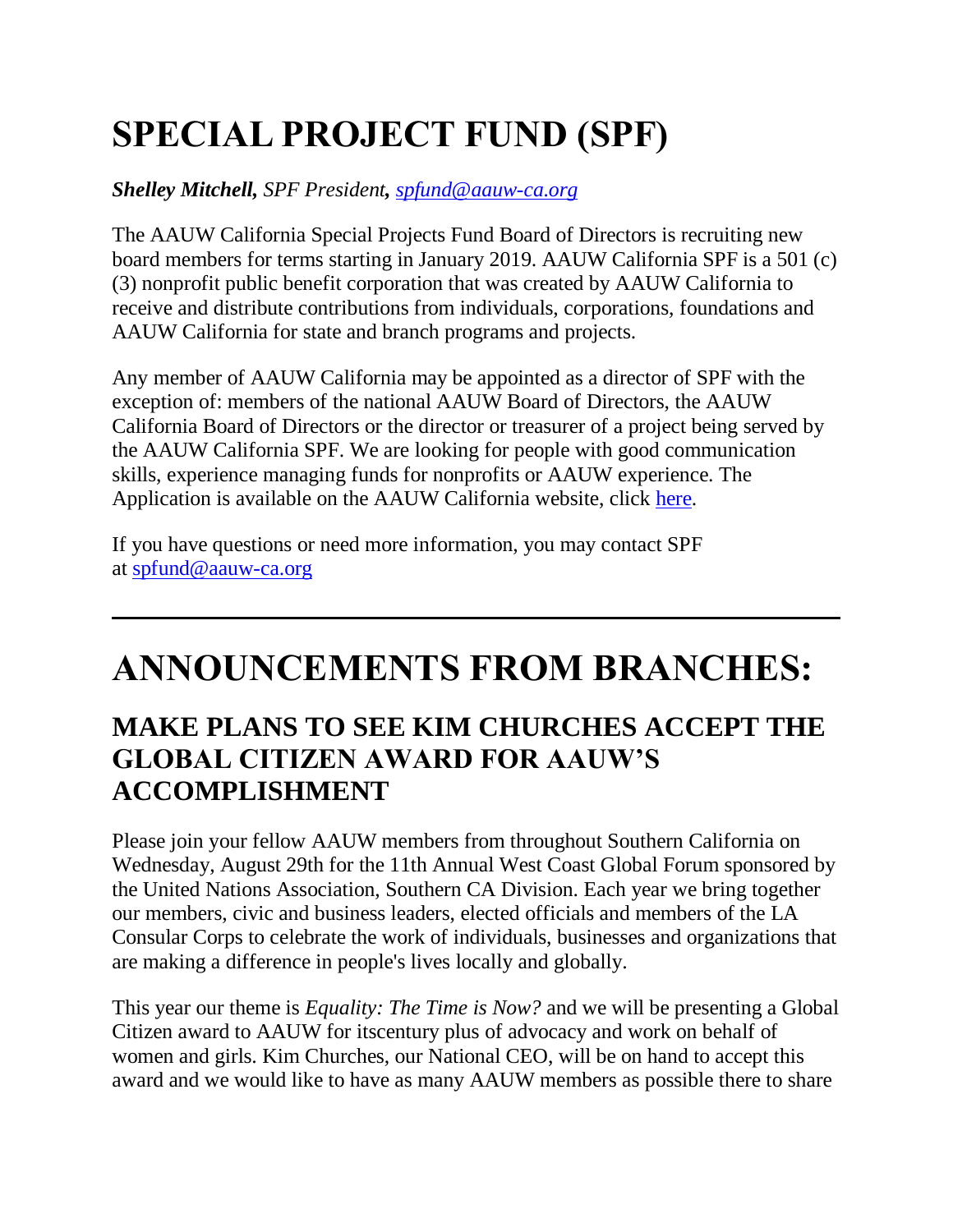# **SPECIAL PROJECT FUND (SPF)**

*Shelley Mitchell, SPF President, [spfund@aauw-ca.org](mailto:spfund@aauw-ca.org)*

The AAUW California Special Projects Fund Board of Directors is recruiting new board members for terms starting in January 2019. AAUW California SPF is a 501 (c) (3) nonprofit public benefit corporation that was created by AAUW California to receive and distribute contributions from individuals, corporations, foundations and AAUW California for state and branch programs and projects.

Any member of AAUW California may be appointed as a director of SPF with the exception of: members of the national AAUW Board of Directors, the AAUW California Board of Directors or the director or treasurer of a project being served by the AAUW California SPF. We are looking for people with good communication skills, experience managing funds for nonprofits or AAUW experience. The Application is available on the AAUW California website, click [here.](https://bor.aauw-ca.org/sendy/l/YlrJ763AeyF892b51vFm0EptRw/2i9IbilITVvbBXhDpoO0jA/euzc763OHTcPZP64trc0KFiw)

If you have questions or need more information, you may contact SPF at [spfund@aauw-ca.org](mailto:spfund@aauw-ca.org)

## **ANNOUNCEMENTS FROM BRANCHES:**

#### **MAKE PLANS TO SEE KIM CHURCHES ACCEPT THE GLOBAL CITIZEN AWARD FOR AAUW'S ACCOMPLISHMENT**

Please join your fellow AAUW members from throughout Southern California on Wednesday, August 29th for the 11th Annual West Coast Global Forum sponsored by the United Nations Association, Southern CA Division. Each year we bring together our members, civic and business leaders, elected officials and members of the LA Consular Corps to celebrate the work of individuals, businesses and organizations that are making a difference in people's lives locally and globally.

This year our theme is *Equality: The Time is Now?* and we will be presenting a Global Citizen award to AAUW for itscentury plus of advocacy and work on behalf of women and girls. Kim Churches, our National CEO, will be on hand to accept this award and we would like to have as many AAUW members as possible there to share